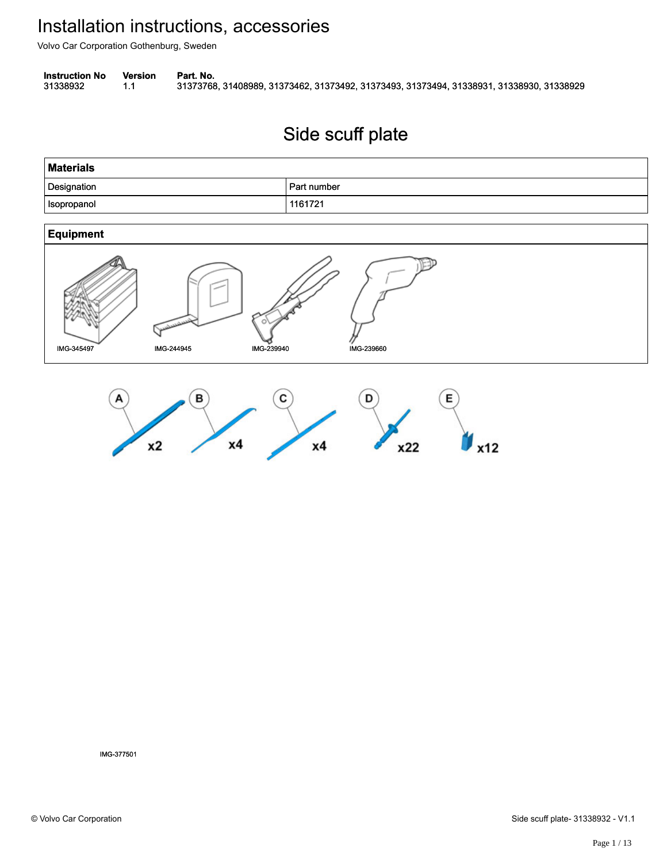Volvo Car Corporation Gothenburg, Sweden

**Instruction No** Version Part. No.

31338932 1.1 31373768, 31408989, 31373462, 31373492, 31373493, 31373494, 31338931, 31338930, 31338929 313389321.131373768, 31408989, 31373462, 31373492, 31373493, 31373494, 31338931, 31338930, 31338929

# Side scuff plate Side scuff plate

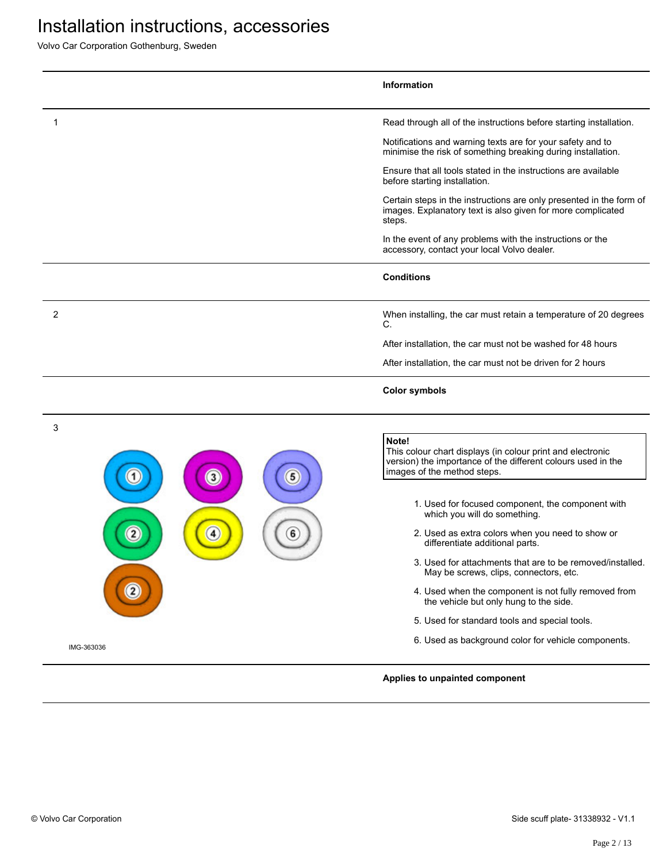|             | Information                                                                                                                                                        |
|-------------|--------------------------------------------------------------------------------------------------------------------------------------------------------------------|
| 1           | Read through all of the instructions before starting installation.                                                                                                 |
|             | Notifications and warning texts are for your safety and to<br>minimise the risk of something breaking during installation.                                         |
|             | Ensure that all tools stated in the instructions are available<br>before starting installation.                                                                    |
|             | Certain steps in the instructions are only presented in the form of<br>images. Explanatory text is also given for more complicated<br>steps.                       |
|             | In the event of any problems with the instructions or the<br>accessory, contact your local Volvo dealer.                                                           |
|             | <b>Conditions</b>                                                                                                                                                  |
| 2           | When installing, the car must retain a temperature of 20 degrees<br>C.                                                                                             |
|             | After installation, the car must not be washed for 48 hours                                                                                                        |
|             | After installation, the car must not be driven for 2 hours                                                                                                         |
|             | <b>Color symbols</b>                                                                                                                                               |
| 3<br>5<br>3 | Note!<br>This colour chart displays (in colour print and electronic<br>version) the importance of the different colours used in the<br>images of the method steps. |
|             | 1. Used for focused component, the component with<br>which you will do something.                                                                                  |
| 6           | 2. Used as extra colors when you need to show or<br>differentiate additional parts.                                                                                |
|             | 3. Used for attachments that are to be removed/installed.<br>May be screws, clips, connectors, etc.                                                                |
|             | 4. Used when the component is not fully removed from<br>the vehicle but only hung to the side.                                                                     |
|             | 5. Used for standard tools and special tools.                                                                                                                      |
|             | 6. Used as background color for vehicle components.                                                                                                                |
| IMG-363036  |                                                                                                                                                                    |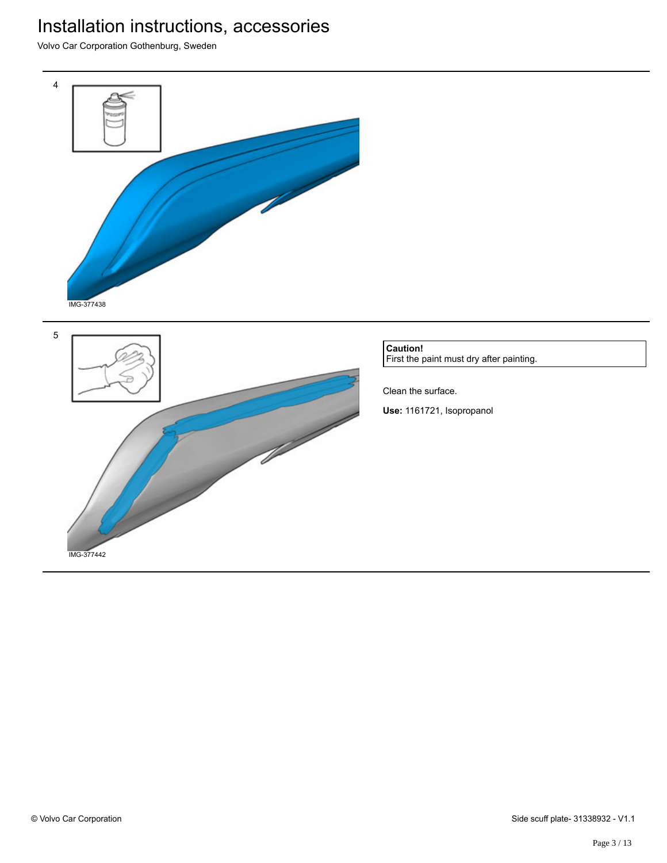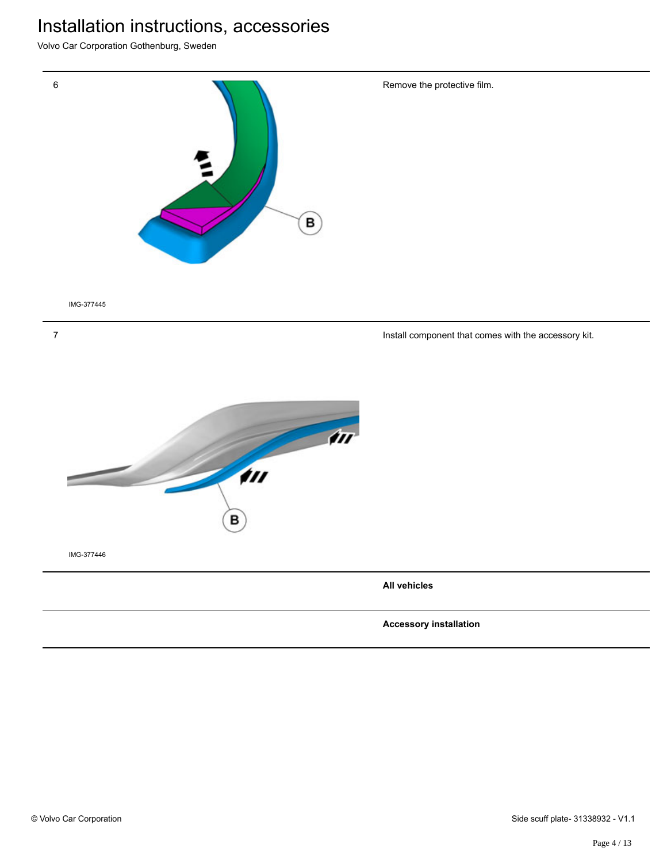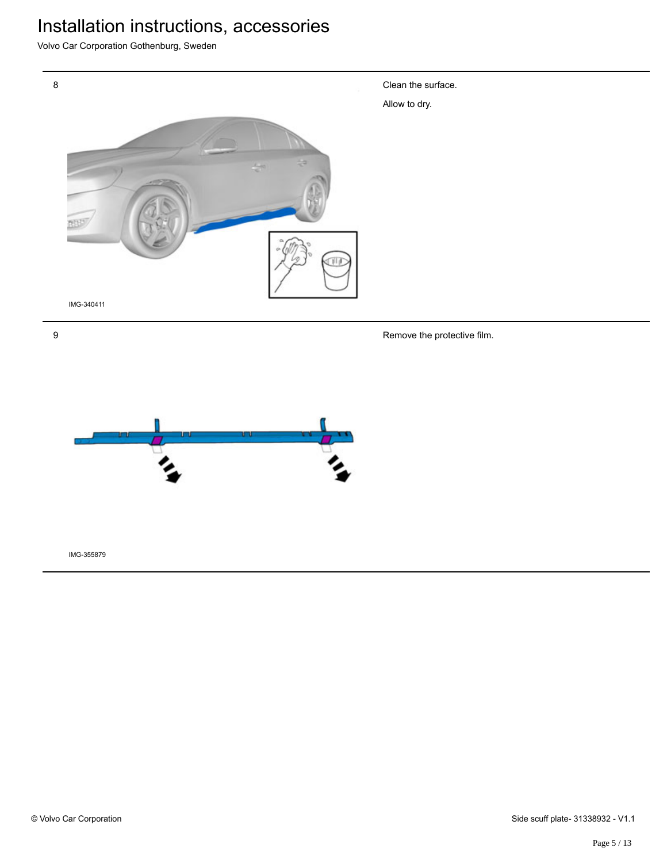Volvo Car Corporation Gothenburg, Sweden



Remove the protective film.

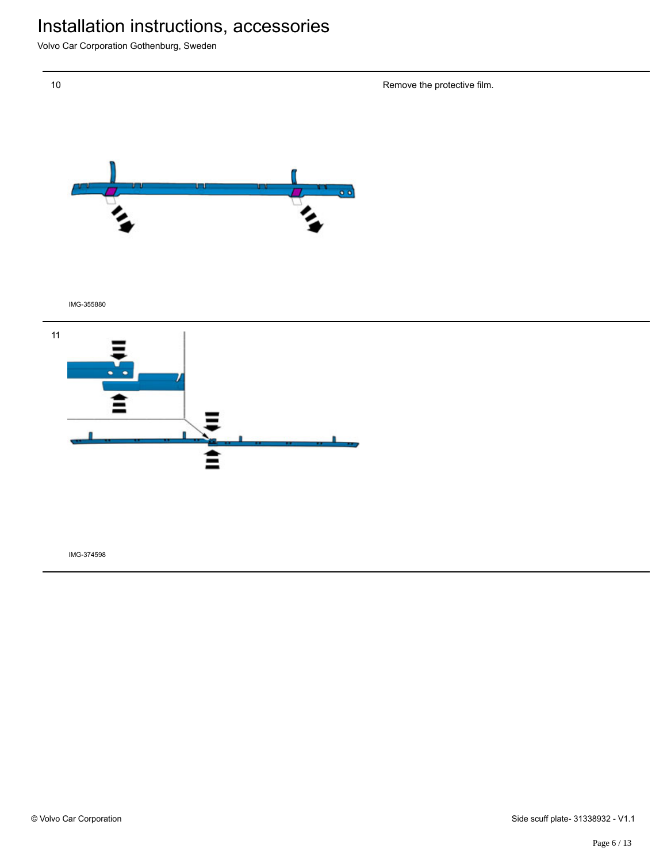Volvo Car Corporation Gothenburg, Sweden

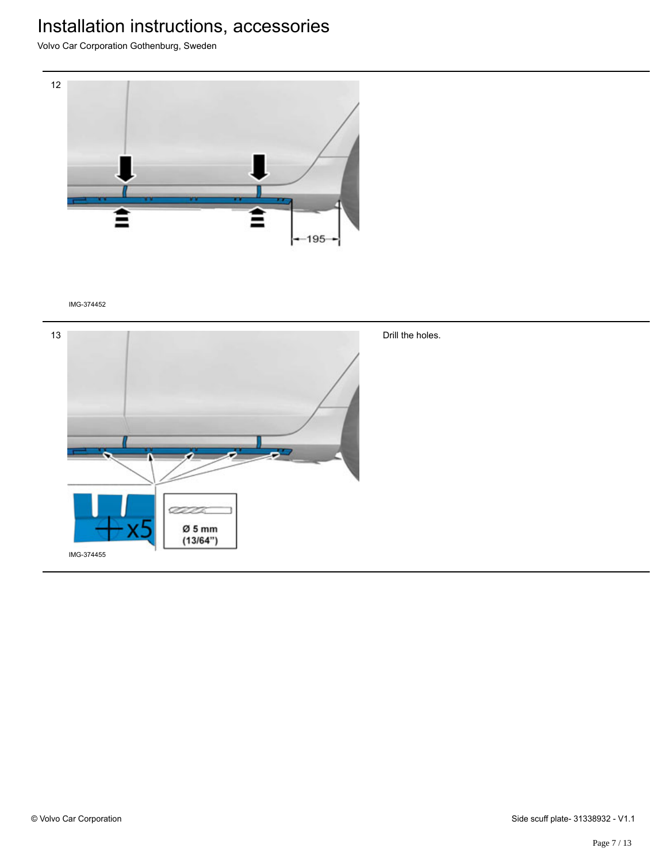Volvo Car Corporation Gothenburg, Sweden



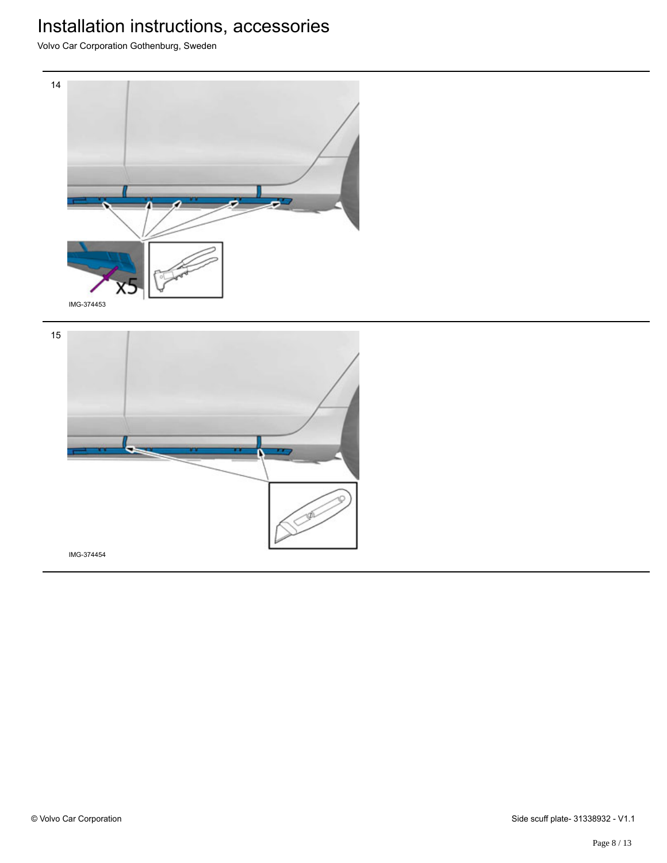

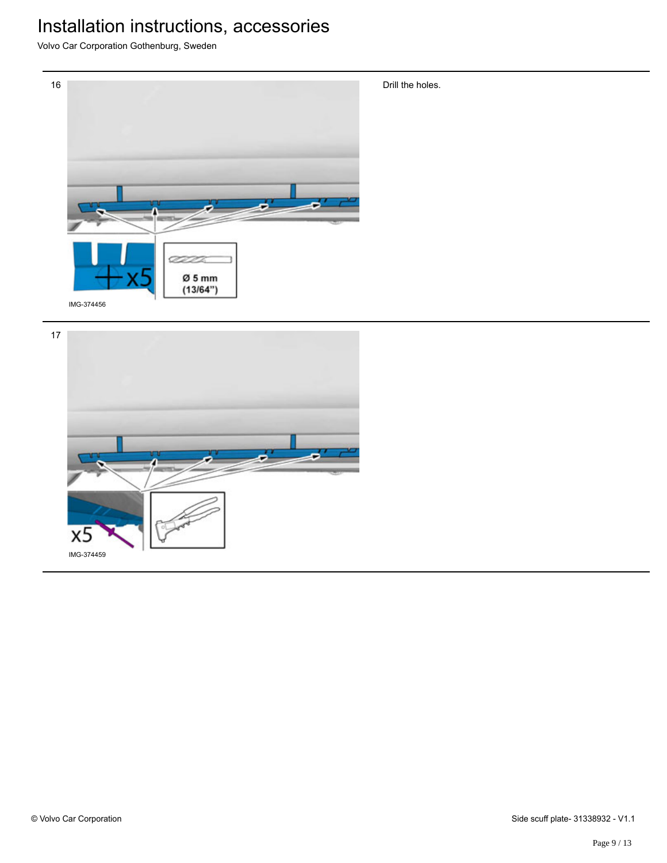

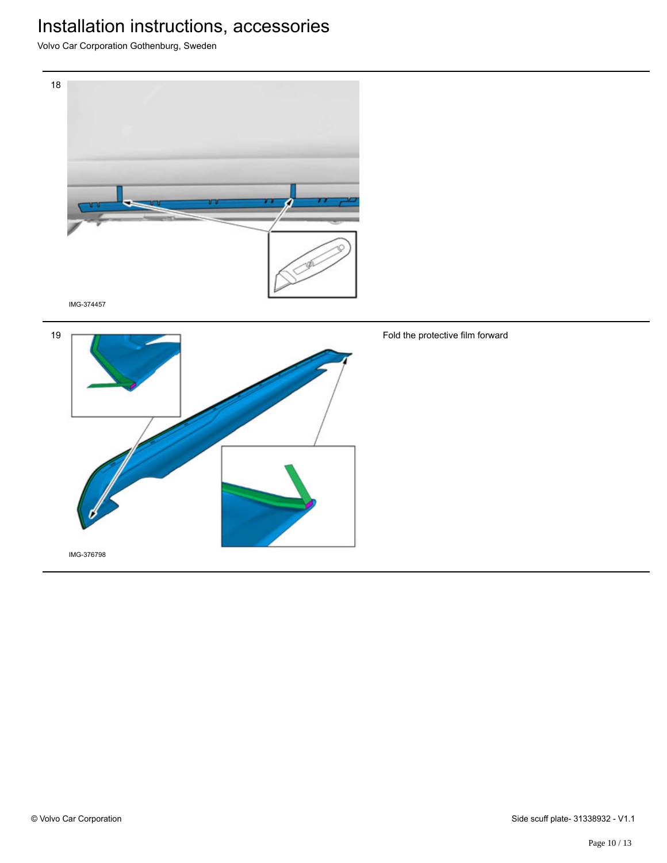Volvo Car Corporation Gothenburg, Sweden





Fold the protective film forward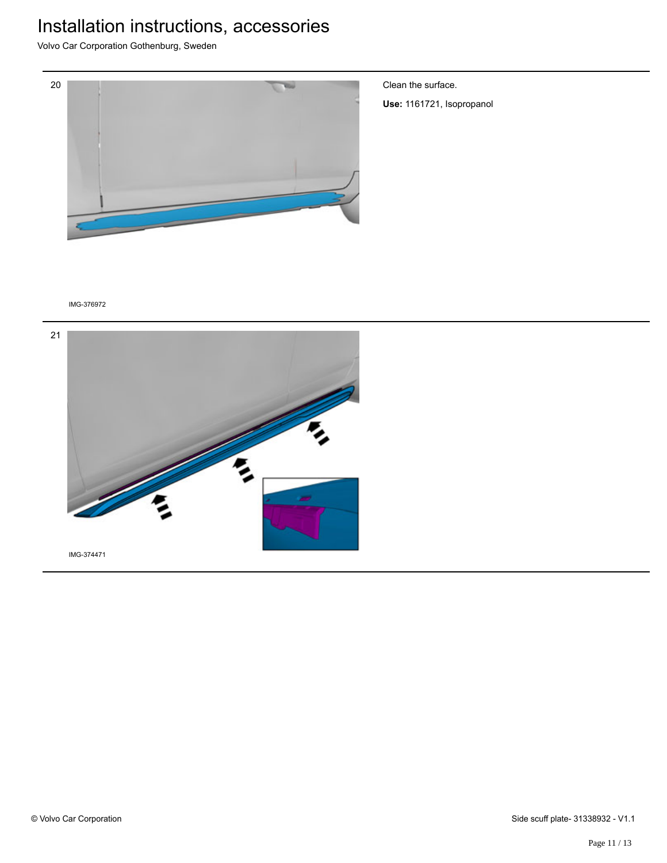Volvo Car Corporation Gothenburg, Sweden



Clean the surface.

**Use:** 1161721, Isopropanol

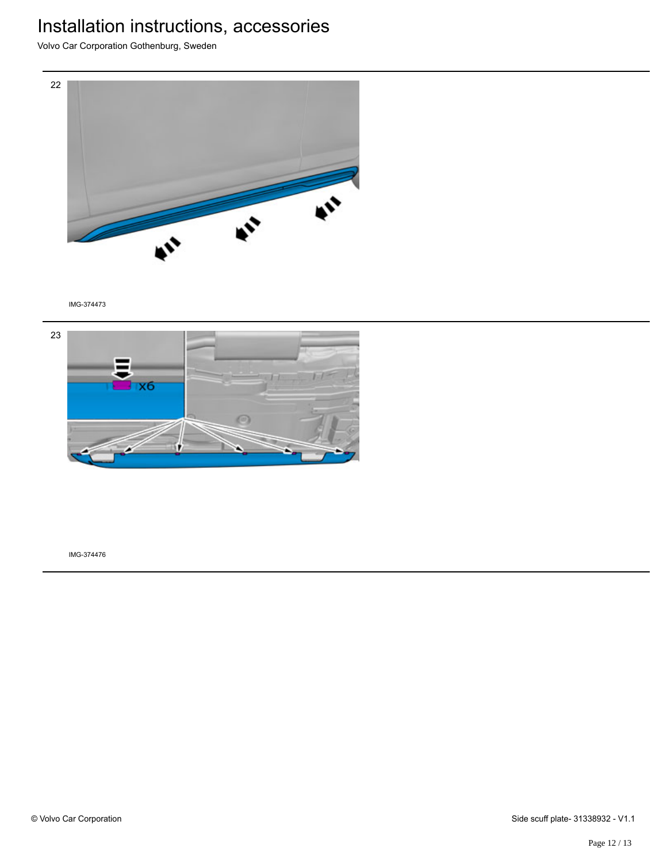Volvo Car Corporation Gothenburg, Sweden



IMG-374473